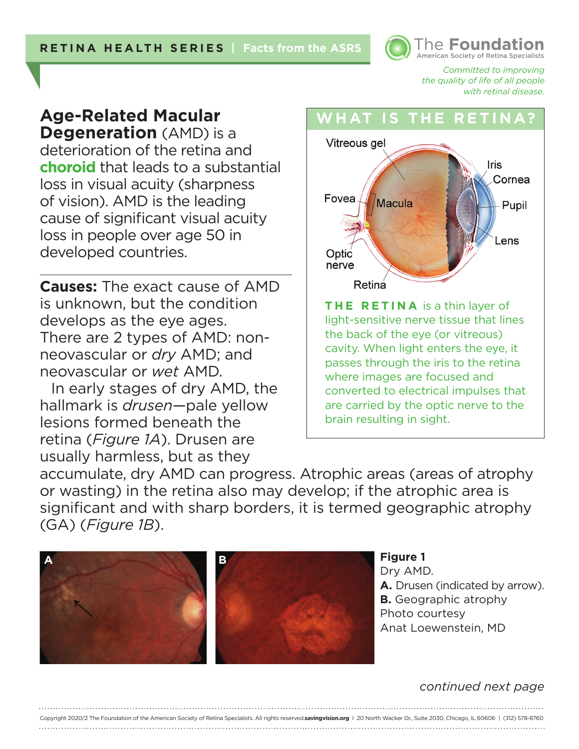American Society of Retina Specialists **The Foundat** 

> *Committed to improving the quality of life of all people with retinal disease.*

# **Age-Related Macular Degeneration** (AMD) is a

deterioration of the retina and **choroid** that leads to a substantial loss in visual acuity (sharpness of vision). AMD is the leading cause of significant visual acuity loss in people over age 50 in developed countries.

**Causes:** The exact cause of AMD is unknown, but the condition develops as the eye ages. There are 2 types of AMD: nonneovascular or *dry* AMD; and neovascular or *wet* AMD.

In early stages of dry AMD, the hallmark is *drusen*—pale yellow lesions formed beneath the retina (*Figure 1A*). Drusen are usually harmless, but as they

## **WHAT IS THE R**



light-sensitive nerve tissue that lines the back of the eye (or vitreous) cavity. When light enters the eye, it passes through the iris to the retina where images are focused and converted to electrical impulses that are carried by the optic nerve to the brain resulting in sight.

accumulate, dry AMD can progress. Atrophic areas (areas of atrophy or wasting) in the retina also may develop; if the atrophic area is significant and with sharp borders, it is termed geographic atrophy (GA) (*Figure 1B*).

Copyright 2020/2 The Foundation of the American Society of Retina Specialists. All rights reserved.**savingvision.org** I 20 North Wacker Dr., Suite 2030, Chicago, IL 60606 | (312) 578-8760





#### *continued next page*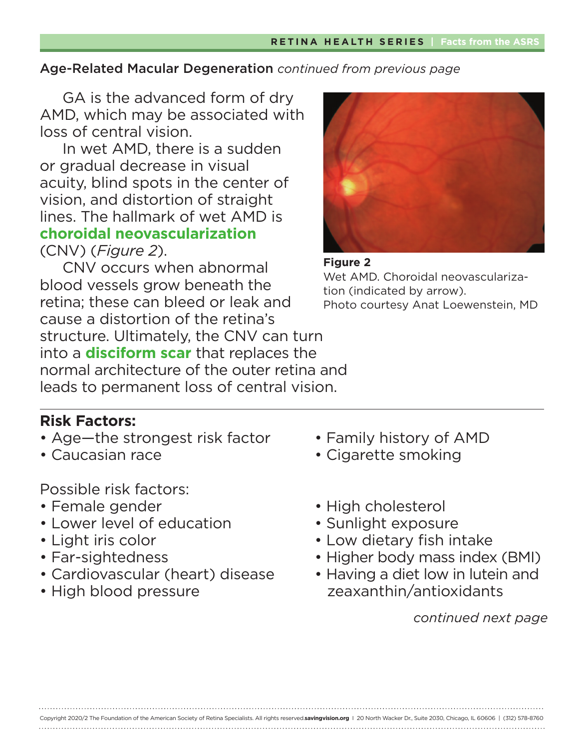GA is the advanced form of dry AMD, which may be associated with loss of central vision.

In wet AMD, there is a sudden or gradual decrease in visual acuity, blind spots in the center of vision, and distortion of straight lines. The hallmark of wet AMD is **choroidal neovascularization** (CNV) (*Figure 2*).

CNV occurs when abnormal blood vessels grow beneath the retina; these can bleed or leak and cause a distortion of the retina's structure. Ultimately, the CNV can turn into a **disciform scar** that replaces the normal architecture of the outer retina and leads to permanent loss of central vision.





# **Risk Factors:**

- Age—the strongest risk factor Family history of AMD
- 

Possible risk factors:

- 
- Lower level of education Sunlight exposure
- 
- 
- Cardiovascular (heart) disease Having a diet low in lutein and
- 
- 
- Caucasian race Cigarette smoking
- Female gender High cholesterol
	-
- Light iris color Low dietary fish intake
- Far-sightedness Higher body mass index (BMI)
- High blood pressure zeaxanthin/antioxidants

*continued next page*

Copyright 2020/2 The Foundation of the American Society of Retina Specialists. All rights reserved.**savingvision.org** I 20 North Wacker Dr., Suite 2030, Chicago, IL 60606 | (312) 578-8760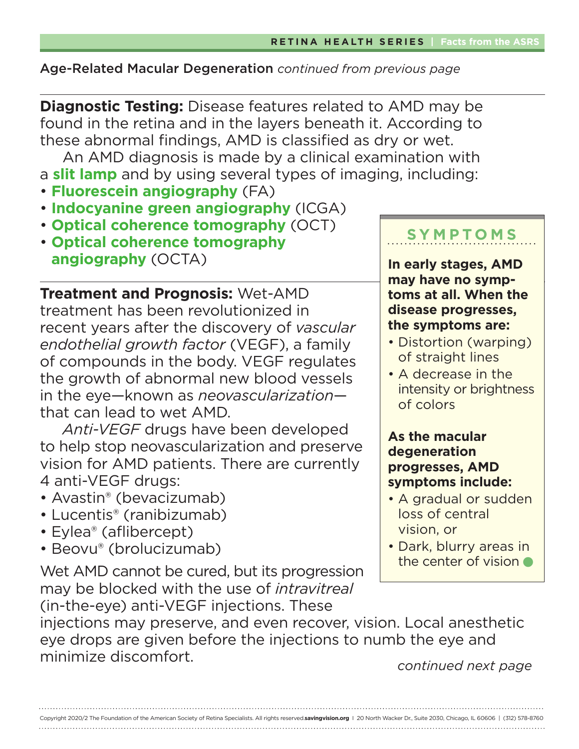**Diagnostic Testing:** Disease features related to AMD may be found in the retina and in the layers beneath it. According to these abnormal findings, AMD is classified as dry or wet.

An AMD diagnosis is made by a clinical examination with a **slit lamp** and by using several types of imaging, including:

- **Fluorescein angiography** (FA)
- **Indocyanine green angiography** (ICGA)
- **Optical coherence tomography** (OCT)
- **Optical coherence tomography angiography** (OCTA)

**Treatment and Prognosis:** Wet-AMD treatment has been revolutionized in recent years after the discovery of *vascular endothelial growth factor* (VEGF), a family of compounds in the body. VEGF regulates the growth of abnormal new blood vessels in the eye—known as *neovascularization* that can lead to wet AMD.

*Anti-VEGF* drugs have been developed to help stop neovascularization and preserve vision for AMD patients. There are currently 4 anti-VEGF drugs:

- Avastin® (bevacizumab)
- Lucentis® (ranibizumab)
- Eylea® (aflibercept)
- Beovu® (brolucizumab)

Wet AMD cannot be cured, but its progression may be blocked with the use of *intravitreal* (in-the-eye) anti-VEGF injections. These

# **SYMPTOMS**

**In early stages, AMD may have no symptoms at all. When the disease progresses, the symptoms are:**

- Distortion (warping) of straight lines
- A decrease in the intensity or brightness of colors

# **As the macular degeneration progresses, AMD symptoms include:**

- A gradual or sudden loss of central vision, or
- Dark, blurry areas in the center of vision

injections may preserve, and even recover, vision. Local anesthetic eye drops are given before the injections to numb the eye and minimize discomfort. *continued next page*

| Copyright 2020/2 The Foundation of the American Society of Retina Specialists. All rights reserved.savingvision.org   20 North Wacker Dr., Suite 2030, Chicago, IL 60606   (312) 578-8760 |  |
|-------------------------------------------------------------------------------------------------------------------------------------------------------------------------------------------|--|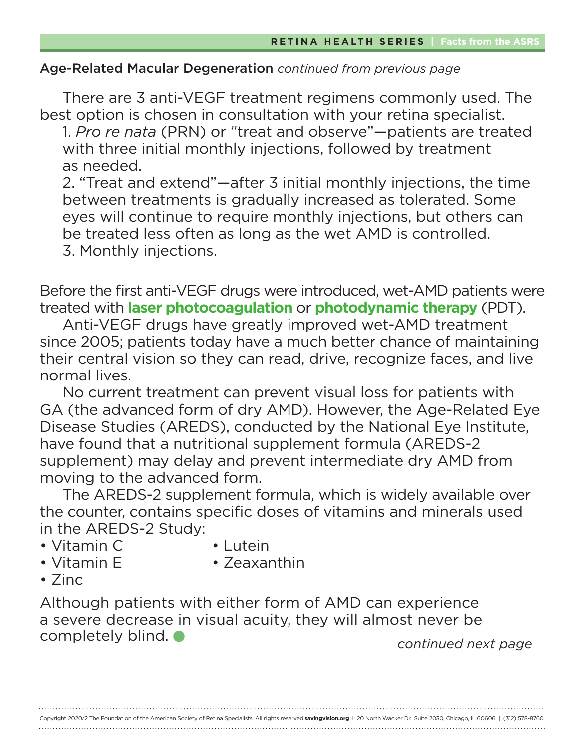There are 3 anti-VEGF treatment regimens commonly used. The best option is chosen in consultation with your retina specialist.

 1. *Pro re nata* (PRN) or "treat and observe"—patients are treated with three initial monthly injections, followed by treatment as needed.

 2. "Treat and extend"—after 3 initial monthly injections, the time between treatments is gradually increased as tolerated. Some eyes will continue to require monthly injections, but others can be treated less often as long as the wet AMD is controlled. 3. Monthly injections.

Before the first anti-VEGF drugs were introduced, wet-AMD patients were treated with **laser photocoagulation** or **photodynamic therapy** (PDT).

Anti-VEGF drugs have greatly improved wet-AMD treatment since 2005; patients today have a much better chance of maintaining their central vision so they can read, drive, recognize faces, and live normal lives.

No current treatment can prevent visual loss for patients with GA (the advanced form of dry AMD). However, the Age-Related Eye Disease Studies (AREDS), conducted by the National Eye Institute, have found that a nutritional supplement formula (AREDS-2 supplement) may delay and prevent intermediate dry AMD from moving to the advanced form.

The AREDS-2 supplement formula, which is widely available over the counter, contains specific doses of vitamins and minerals used in the AREDS-2 Study:

- Vitamin C Lutein
- 
- 
- Vitamin E Zeaxanthin
- Zinc

Although patients with either form of AMD can experience a severe decrease in visual acuity, they will almost never be completely blind.

*continued next page*

Copyright 2020/2 The Foundation of the American Society of Retina Specialists. All rights reserved.**savingvision.org** I 20 North Wacker Dr., Suite 2030, Chicago, IL 60606 | (312) 578-8760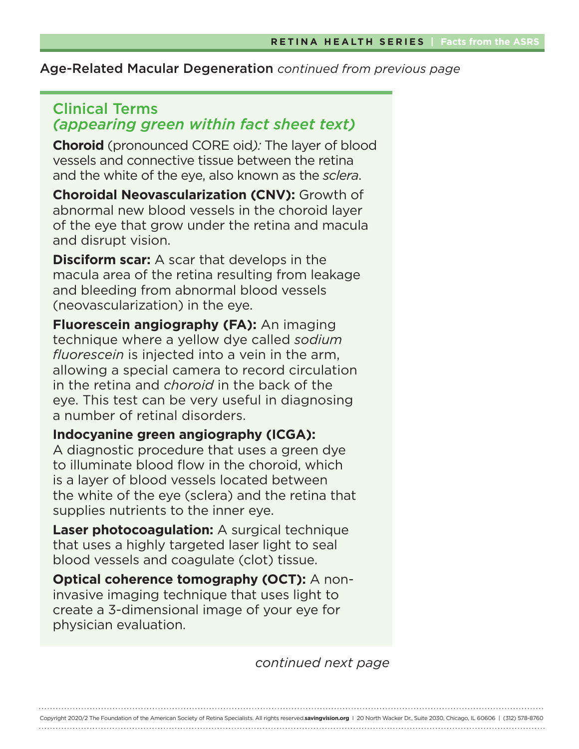# Clinical Terms *(appearing green within fact sheet text)*

**Choroid** (pronounced CORE oid*):* The layer of blood vessels and connective tissue between the retina and the white of the eye, also known as the *sclera*.

**Choroidal Neovascularization (CNV):** Growth of abnormal new blood vessels in the choroid layer of the eye that grow under the retina and macula and disrupt vision.

**Disciform scar:** A scar that develops in the macula area of the retina resulting from leakage and bleeding from abnormal blood vessels (neovascularization) in the eye.

**Fluorescein angiography (FA):** An imaging technique where a yellow dye called *sodium fluorescein* is injected into a vein in the arm, allowing a special camera to record circulation in the retina and *choroid* in the back of the eye. This test can be very useful in diagnosing a number of retinal disorders.

# **Indocyanine green angiography (ICGA):**

A diagnostic procedure that uses a green dye to illuminate blood flow in the choroid, which is a layer of blood vessels located between the white of the eye (sclera) and the retina that supplies nutrients to the inner eye.

**Laser photocoagulation:** A surgical technique that uses a highly targeted laser light to seal blood vessels and coagulate (clot) tissue.

**Optical coherence tomography (OCT):** A noninvasive imaging technique that uses light to create a 3-dimensional image of your eye for physician evaluation.

*continued next page*

Copyright 2020/2 The Foundation of the American Society of Retina Specialists. All rights reserved.**savingvision.org** I 20 North Wacker Dr., Suite 2030, Chicago, IL 60606 | (312) 578-8760